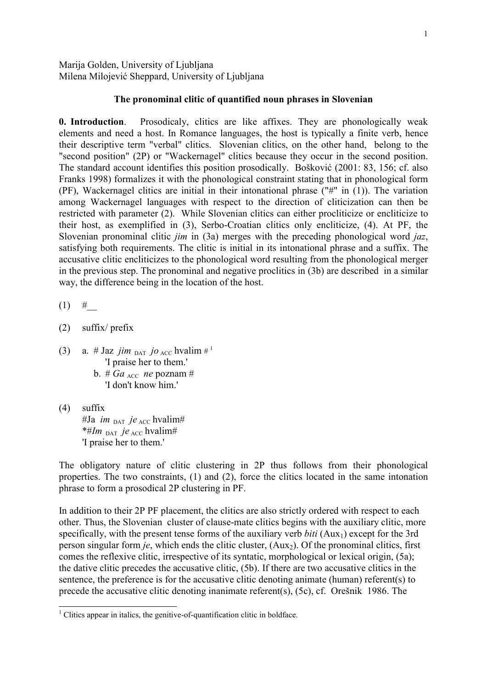Marija Golden, University of Ljubljana Milena Milojević Sheppard, University of Ljubljana

## **The pronominal clitic of quantified noun phrases in Slovenian**

**0. Introduction**.Prosodicaly, clitics are like affixes. They are phonologically weak elements and need a host. In Romance languages, the host is typically a finite verb, hence their descriptive term "verbal" clitics. Slovenian clitics, on the other hand, belong to the "second position" (2P) or "Wackernagel" clitics because they occur in the second position. The standard account identifies this position prosodically. Bošković (2001: 83, 156; cf. also Franks 1998) formalizes it with the phonological constraint stating that in phonological form (PF), Wackernagel clitics are initial in their intonational phrase ("#" in (1)). The variation among Wackernagel languages with respect to the direction of cliticization can then be restricted with parameter (2). While Slovenian clitics can either procliticize or encliticize to their host, as exemplified in (3), Serbo-Croatian clitics only encliticize, (4). At PF, the Slovenian pronominal clitic *jim* in (3a) merges with the preceding phonological word *jaz*, satisfying both requirements. The clitic is initial in its intonational phrase and a suffix. The accusative clitic encliticizes to the phonological word resulting from the phonological merger in the previous step. The pronominal and negative proclitics in (3b) are described in a similar way, the difference being in the location of the host.

 $(1)$  #

- (2) suffix/ prefix
- (3) a. # Jaz *jim*  $_{\text{DAT}}$  *jo*  $_{\text{ACC}}$  hvalim #<sup>1</sup> 'I praise her to them.'
	- b. #  $Ga$ <sub>ACC</sub> *ne* poznam # 'I don't know him.'
- (4) suffix

 #Ja *im* DAT *je* ACC hvalim# \*#*Im* DAT *je* ACC hvalim# 'I praise her to them.'

The obligatory nature of clitic clustering in 2P thus follows from their phonological properties. The two constraints, (1) and (2), force the clitics located in the same intonation phrase to form a prosodical 2P clustering in PF.

In addition to their 2P PF placement, the clitics are also strictly ordered with respect to each other. Thus, the Slovenian cluster of clause-mate clitics begins with the auxiliary clitic, more specifically, with the present tense forms of the auxiliary verb *biti* (Aux<sub>1</sub>) except for the 3rd person singular form *je*, which ends the clitic cluster, (Aux<sub>2</sub>). Of the pronominal clitics, first comes the reflexive clitic, irrespective of its syntatic, morphological or lexical origin, (5a); the dative clitic precedes the accusative clitic, (5b). If there are two accusative clitics in the sentence, the preference is for the accusative clitic denoting animate (human) referent(s) to precede the accusative clitic denoting inanimate referent(s), (5c), cf. Orešnik 1986. The

<sup>&</sup>lt;sup>1</sup> Clitics appear in italics, the genitive-of-quantification clitic in boldface.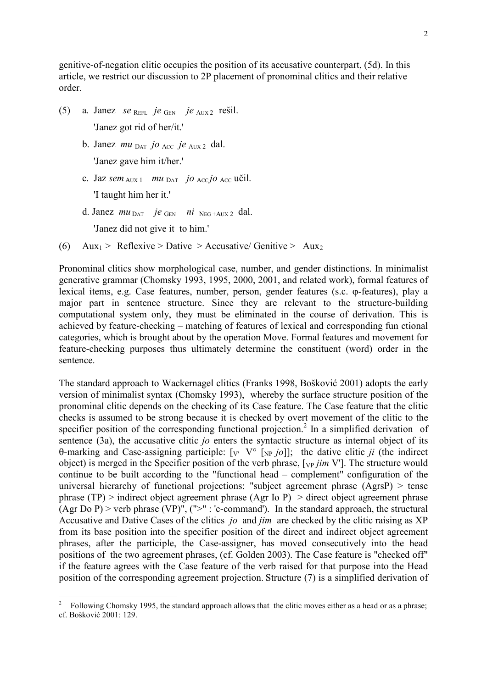genitive-of-negation clitic occupies the position of its accusative counterpart, (5d). In this article, we restrict our discussion to 2P placement of pronominal clitics and their relative order.

- (5) a. Janez *se* <sup>R</sup>EFL *je* <sup>G</sup>EN *je* <sup>A</sup>UX <sup>2</sup>rešil. 'Janez got rid of her/it.'
	- b. Janez *mu* <sup>D</sup>AT *jo* <sup>A</sup>CC *je* <sup>A</sup>UX<sup>2</sup> dal. 'Janez gave him it/her.'
	- c. Jaz  $sem_{AUX1}$  *mu*  $_{DATA}$  *jo*  $_{ACC}$ *jo*  $_{ACC}$  učil. 'I taught him her it.'
	- d. Janez *mu* <sup>D</sup>AT *je* <sup>G</sup>EN *ni* <sup>N</sup>EG +AUX<sup>2</sup> dal.

'Janez did not give it to him.'

-

(6) Aux<sub>1</sub> > Reflexive > Dative > Accusative/ Genitive > Aux<sub>2</sub>

Pronominal clitics show morphological case, number, and gender distinctions. In minimalist generative grammar (Chomsky 1993, 1995, 2000, 2001, and related work), formal features of lexical items, e.g. Case features, number, person, gender features (s.c. ϕ-features), play a major part in sentence structure. Since they are relevant to the structure-building computational system only, they must be eliminated in the course of derivation. This is achieved by feature-checking – matching of features of lexical and corresponding fun ctional categories, which is brought about by the operation Move. Formal features and movement for feature-checking purposes thus ultimately determine the constituent (word) order in the sentence.

The standard approach to Wackernagel clitics (Franks 1998, Bošković 2001) adopts the early version of minimalist syntax (Chomsky 1993), whereby the surface structure position of the pronominal clitic depends on the checking of its Case feature. The Case feature that the clitic checks is assumed to be strong because it is checked by overt movement of the clitic to the specifier position of the corresponding functional projection.<sup>2</sup> In a simplified derivation of sentence (3a), the accusative clitic *jo* enters the syntactic structure as internal object of its θ-marking and Case-assigning participle:  $\lbrack v \rbrack$   $V^{\circ}$   $\lbrack v \rbrack$   $\lbrack v \rbrack$ ; the dative clitic *ji* (the indirect object) is merged in the Specifier position of the verb phrase, [<sub>VP</sub> *jim* V']. The structure would continue to be built according to the "functional head – complement" configuration of the universal hierarchy of functional projections: "subject agreement phrase (AgrsP) > tense phrase (TP) > indirect object agreement phrase (Agr Io P) > direct object agreement phrase (Agr Do P) > verb phrase (VP)",  $(">" : 'c-command')$ . In the standard approach, the structural Accusative and Dative Cases of the clitics *jo* and *jim* are checked by the clitic raising as XP from its base position into the specifier position of the direct and indirect object agreement phrases, after the participle, the Case-assigner, has moved consecutively into the head positions of the two agreement phrases, (cf. Golden 2003). The Case feature is "checked off" if the feature agrees with the Case feature of the verb raised for that purpose into the Head position of the corresponding agreement projection. Structure (7) is a simplified derivation of

<sup>2</sup> Following Chomsky 1995, the standard approach allows that the clitic moves either as a head or as a phrase; cf. Bošković 2001: 129.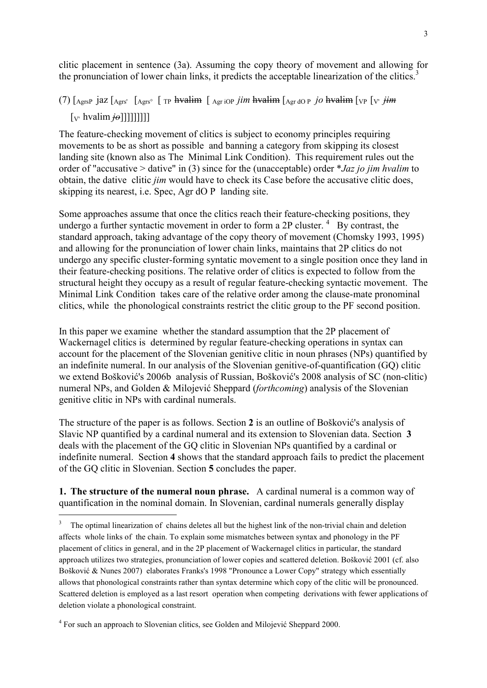clitic placement in sentence (3a). Assuming the copy theory of movement and allowing for the pronunciation of lower chain links, it predicts the acceptable linearization of the clitics. $3$ 

## (7)  $\left[ \right]$  AgrsP jaz  $\left[ \right]$  Agrs'  $\left[ \right]$  Agrs<sup>o</sup>  $\left[ \right]$  TP **hvalim**  $\left[ \right]$  Agr iOP *jim* **hvalim**  $\left[ \right]$  Agr dO P *jO* **hvalim**  $\left[ \right]$  VP  $\left[ \right]$  V' *jim*  $[v$  hvalim  $\dot{\theta}$ ]]]]]]]]]]

The feature-checking movement of clitics is subject to economy principles requiring movements to be as short as possible and banning a category from skipping its closest landing site (known also as The Minimal Link Condition). This requirement rules out the order of "accusative > dative" in (3) since for the (unacceptable) order \**Jaz jo jim hvalim* to obtain, the dative clitic *jim* would have to check its Case before the accusative clitic does, skipping its nearest, i.e. Spec, Agr dO P landing site.

Some approaches assume that once the clitics reach their feature-checking positions, they undergo a further syntactic movement in order to form a 2P cluster.  $4$  By contrast, the standard approach, taking advantage of the copy theory of movement (Chomsky 1993, 1995) and allowing for the pronunciation of lower chain links, maintains that 2P clitics do not undergo any specific cluster-forming syntatic movement to a single position once they land in their feature-checking positions. The relative order of clitics is expected to follow from the structural height they occupy as a result of regular feature-checking syntactic movement. The Minimal Link Condition takes care of the relative order among the clause-mate pronominal clitics, while the phonological constraints restrict the clitic group to the PF second position.

In this paper we examine whether the standard assumption that the 2P placement of Wackernagel clitics is determined by regular feature-checking operations in syntax can account for the placement of the Slovenian genitive clitic in noun phrases (NPs) quantified by an indefinite numeral. In our analysis of the Slovenian genitive-of-quantification (GQ) clitic we extend Bošković's 2006b analysis of Russian, Bošković's 2008 analysis of SC (non-clitic) numeral NPs, and Golden & Milojević Sheppard (*forthcoming*) analysis of the Slovenian genitive clitic in NPs with cardinal numerals.

The structure of the paper is as follows. Section **2** is an outline of Bošković's analysis of Slavic NP quantified by a cardinal numeral and its extension to Slovenian data. Section **3** deals with the placement of the GQ clitic in Slovenian NPs quantified by a cardinal or indefinite numeral. Section **4** shows that the standard approach fails to predict the placement of the GQ clitic in Slovenian. Section **5** concludes the paper.

**1. The structure of the numeral noun phrase.** A cardinal numeral is a common way of quantification in the nominal domain. In Slovenian, cardinal numerals generally display

-

<sup>3</sup> The optimal linearization of chains deletes all but the highest link of the non-trivial chain and deletion affects whole links of the chain. To explain some mismatches between syntax and phonology in the PF placement of clitics in general, and in the 2P placement of Wackernagel clitics in particular, the standard approach utilizes two strategies, pronunciation of lower copies and scattered deletion. Bošković 2001 (cf. also Bošković & Nunes 2007) elaborates Franks's 1998 "Pronounce a Lower Copy" strategy which essentially allows that phonological constraints rather than syntax determine which copy of the clitic will be pronounced. Scattered deletion is employed as a last resort operation when competing derivations with fewer applications of deletion violate a phonological constraint.

<sup>&</sup>lt;sup>4</sup> For such an approach to Slovenian clitics, see Golden and Milojević Sheppard 2000.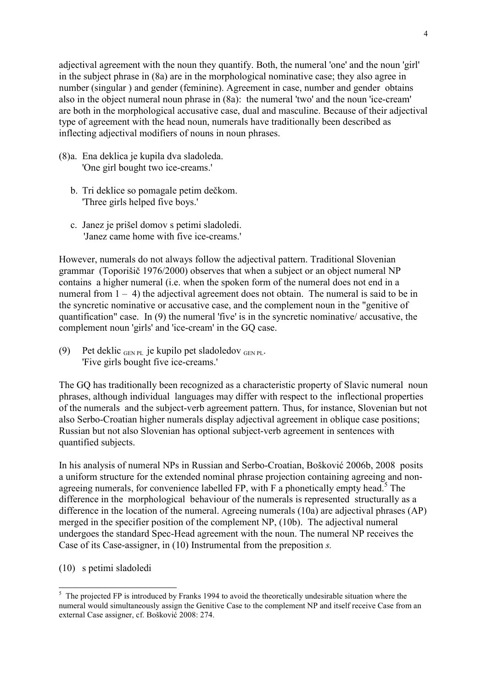adjectival agreement with the noun they quantify. Both, the numeral 'one' and the noun 'girl' in the subject phrase in (8a) are in the morphological nominative case; they also agree in number (singular ) and gender (feminine). Agreement in case, number and gender obtains also in the object numeral noun phrase in (8a): the numeral 'two' and the noun 'ice-cream' are both in the morphological accusative case, dual and masculine. Because of their adjectival type of agreement with the head noun, numerals have traditionally been described as inflecting adjectival modifiers of nouns in noun phrases.

- (8) a. Ena deklica je kupila dva sladoleda. 'One girl bought two ice-creams.'
	- b. Tri deklice so pomagale petim dečkom. 'Three girls helped five boys.'
	- c. Janez je prišel domov s petimi sladoledi. 'Janez came home with five ice-creams.'

However, numerals do not always follow the adjectival pattern. Traditional Slovenian grammar (Toporišič 1976/2000) observes that when a subject or an object numeral NP contains a higher numeral (i.e. when the spoken form of the numeral does not end in a numeral from  $1 - 4$ ) the adjectival agreement does not obtain. The numeral is said to be in the syncretic nominative or accusative case, and the complement noun in the "genitive of quantification" case. In (9) the numeral 'five' is in the syncretic nominative/ accusative, the complement noun 'girls' and 'ice-cream' in the GQ case.

(9) Pet deklic  $G_{\text{EN PL}}$  je kupilo pet sladoledov  $G_{\text{EN PL}}$ . 'Five girls bought five ice-creams.'

The GQ has traditionally been recognized as a characteristic property of Slavic numeral noun phrases, although individual languages may differ with respect to the inflectional properties of the numerals and the subject-verb agreement pattern. Thus, for instance, Slovenian but not also Serbo-Croatian higher numerals display adjectival agreement in oblique case positions; Russian but not also Slovenian has optional subject-verb agreement in sentences with quantified subjects.

In his analysis of numeral NPs in Russian and Serbo-Croatian, Bošković 2006b, 2008 posits a uniform structure for the extended nominal phrase projection containing agreeing and nonagreeing numerals, for convenience labelled  $FP$ , with  $F$  a phonetically empty head.<sup>5</sup> The difference in the morphological behaviour of the numerals is represented structurally as a difference in the location of the numeral. Agreeing numerals (10a) are adjectival phrases (AP) merged in the specifier position of the complement NP, (10b). The adjectival numeral undergoes the standard Spec-Head agreement with the noun. The numeral NP receives the Case of its Case-assigner, in (10) Instrumental from the preposition *s.* 

(10) s petimi sladoledi

<sup>&</sup>lt;sup>5</sup> The projected FP is introduced by Franks 1994 to avoid the theoretically undesirable situation where the numeral would simultaneously assign the Genitive Case to the complement NP and itself receive Case from an external Case assigner, cf. Bošković 2008: 274.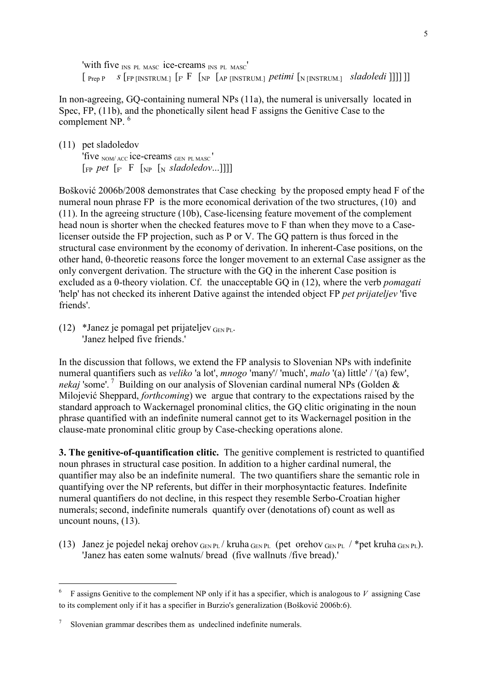'with five <sub>INS PL MASC</sub> ice-creams <sub>INS PL MASC</sub>'  $\lceil$  Prep P *s*  $\lceil$  FP [INSTRUM.]  $\lceil$  F  $\lceil$   $\lceil$  NP  $\lceil$  AP [INSTRUM.] *petimi*  $\lceil$   $\lceil$  N [INSTRUM.] *sladoledi* ]]]]

In non-agreeing, GQ-containing numeral NPs (11a), the numeral is universally located in Spec, FP, (11b), and the phonetically silent head F assigns the Genitive Case to the complement NP.<sup>6</sup>

(11) pet sladoledov 'five <sub>NOM/ ACC</sub> ice-creams GEN PLMASC'  $\lceil \frac{F}{F} \cdot p e t \rceil \rceil$   $\lceil \frac{F}{F} \cdot p e t \rceil$   $\lceil \frac{F}{F} \cdot p e t \rceil \rceil$ 

Bošković 2006b/2008 demonstrates that Case checking by the proposed empty head F of the numeral noun phrase FP is the more economical derivation of the two structures, (10) and (11). In the agreeing structure (10b), Case-licensing feature movement of the complement head noun is shorter when the checked features move to F than when they move to a Caselicenser outside the FP projection, such as P or V. The GQ pattern is thus forced in the structural case environment by the economy of derivation. In inherent-Case positions, on the other hand, θ-theoretic reasons force the longer movement to an external Case assigner as the only convergent derivation. The structure with the GQ in the inherent Case position is excluded as a θ-theory violation. Cf. the unacceptable GQ in (12), where the verb *pomagati* 'help' has not checked its inherent Dative against the intended object FP *pet prijateljev* 'five friends'.

(12) \*Janez je pomagal pet prijateljev $_{\text{GEN PI}}$ . 'Janez helped five friends.'

In the discussion that follows, we extend the FP analysis to Slovenian NPs with indefinite numeral quantifiers such as *veliko* 'a lot', *mnogo* 'many'/ 'much', *malo* '(a) little' / '(a) few', *nekaj* 'some'.<sup>7</sup> Building on our analysis of Slovenian cardinal numeral NPs (Golden & Milojević Sheppard, *forthcoming*) we argue that contrary to the expectations raised by the standard approach to Wackernagel pronominal clitics, the GQ clitic originating in the noun phrase quantified with an indefinite numeral cannot get to its Wackernagel position in the clause-mate pronominal clitic group by Case-checking operations alone.

**3. The genitive-of-quantification clitic.** The genitive complement is restricted to quantified noun phrases in structural case position. In addition to a higher cardinal numeral, the quantifier may also be an indefinite numeral. The two quantifiers share the semantic role in quantifying over the NP referents, but differ in their morphosyntactic features. Indefinite numeral quantifiers do not decline, in this respect they resemble Serbo-Croatian higher numerals; second, indefinite numerals quantify over (denotations of) count as well as uncount nouns, (13).

(13) Janez je pojedel nekaj orehov $_{\text{GEN PL}}$  / kruha  $_{\text{GEN PL}}$  (pet orehov  $_{\text{GEN PL}}$  / \*pet kruha  $_{\text{GEN PL}}$ ). 'Janez has eaten some walnuts/ bread (five wallnuts /five bread).'

-

<sup>6</sup> F assigns Genitive to the complement NP only if it has a specifier, which is analogous to *V* assigning Case to its complement only if it has a specifier in Burzio's generalization (Bošković 2006b:6).

<sup>7</sup> Slovenian grammar describes them as undeclined indefinite numerals.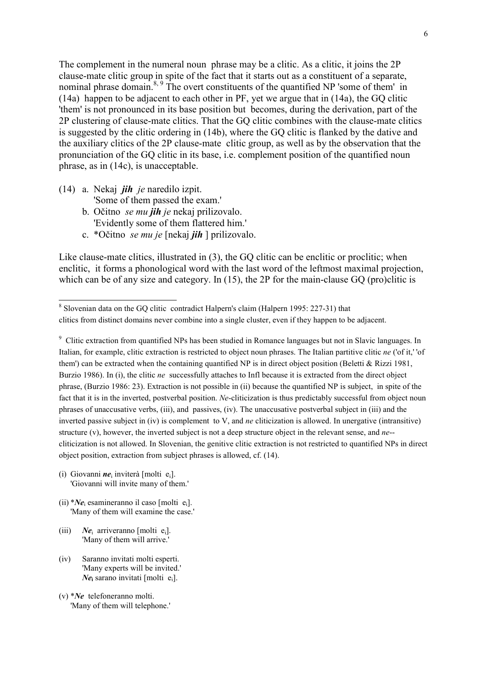The complement in the numeral noun phrase may be a clitic. As a clitic, it joins the 2P clause-mate clitic group in spite of the fact that it starts out as a constituent of a separate, nominal phrase domain.<sup>8, 9</sup> The overt constituents of the quantified NP 'some of them' in (14a) happen to be adjacent to each other in PF, yet we argue that in (14a), the GQ clitic 'them' is not pronounced in its base position but becomes, during the derivation, part of the 2P clustering of clause-mate clitics. That the GQ clitic combines with the clause-mate clitics is suggested by the clitic ordering in (14b), where the GQ clitic is flanked by the dative and the auxiliary clitics of the 2P clause-mate clitic group, as well as by the observation that the pronunciation of the GQ clitic in its base, i.e. complement position of the quantified noun phrase, as in (14c), is unacceptable.

- (14) a. Nekaj *jih je* naredilo izpit. 'Some of them passed the exam.'
	- b. Očitno *se mu jih je* nekaj prilizovalo. 'Evidently some of them flattered him.'
	- c. \*Očitno *se mu je* [nekaj *jih* ] prilizovalo.

Like clause-mate clitics, illustrated in (3), the GO clitic can be enclitic or proclitic; when enclitic, it forms a phonological word with the last word of the leftmost maximal projection, which can be of any size and category. In (15), the 2P for the main-clause GQ (pro)clitic is

<sup>9</sup> Clitic extraction from quantified NPs has been studied in Romance languages but not in Slavic languages. In Italian, for example, clitic extraction is restricted to object noun phrases. The Italian partitive clitic *ne* ('of it,' 'of them') can be extracted when the containing quantified NP is in direct object position (Beletti & Rizzi 1981, Burzio 1986). In (i), the clitic *ne* successfully attaches to Infl because it is extracted from the direct object phrase, (Burzio 1986: 23). Extraction is not possible in (ii) because the quantified NP is subject, in spite of the fact that it is in the inverted, postverbal position. *Ne*-cliticization is thus predictably successful from object noun phrases of unaccusative verbs, (iii), and passives, (iv). The unaccusative postverbal subject in (iii) and the inverted passive subject in (iv) is complement to V, and *ne* cliticization is allowed. In unergative (intransitive) structure (v), however, the inverted subject is not a deep structure object in the relevant sense, and *ne*- cliticization is not allowed. In Slovenian, the genitive clitic extraction is not restricted to quantified NPs in direct object position, extraction from subject phrases is allowed, cf. (14).

- (i) Giovanni  $ne_i$  inviterà [molti  $e_i$ ]. 'Giovanni will invite many of them.'
- $(ii)$  *\*Ne<sub>i</sub>* esamineranno il caso [molti e<sub>i</sub>]. 'Many of them will examine the case.'
- (iii) *Ne*<sup>i</sup>  $Ne_i$  arriveranno [molti e<sub>i</sub>]. 'Many of them will arrive.'
- (iv) Saranno invitati molti esperti. 'Many experts will be invited.' *Ne***<sup>i</sup>** sarano invitati [molti ei].

<sup>&</sup>lt;sup>8</sup> Slovenian data on the GQ clitic contradict Halpern's claim (Halpern 1995: 227-31) that clitics from distinct domains never combine into a single cluster, even if they happen to be adjacent.

<sup>(</sup>v) \**Ne* telefoneranno molti. 'Many of them will telephone.'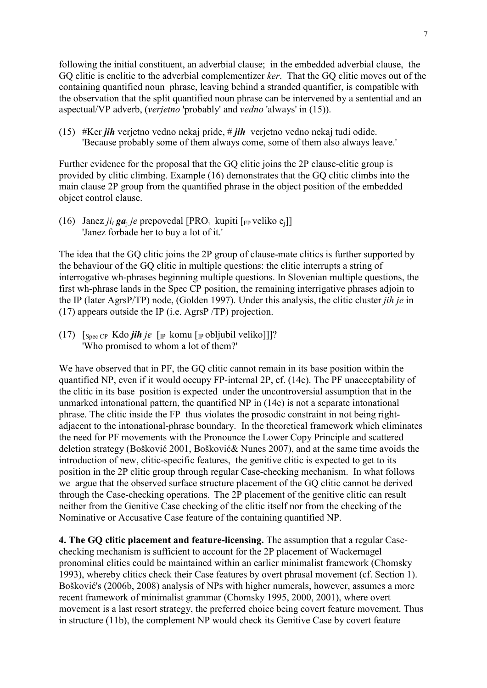following the initial constituent, an adverbial clause; in the embedded adverbial clause, the GQ clitic is enclitic to the adverbial complementizer *ker*. That the GQ clitic moves out of the containing quantified noun phrase, leaving behind a stranded quantifier, is compatible with the observation that the split quantified noun phrase can be intervened by a sentential and an aspectual/VP adverb, (*verjetno* 'probably' and *vedno* 'always' in (15)).

(15) #Ker *jih* verjetno vedno nekaj pride, # *jih* verjetno vedno nekaj tudi odide. 'Because probably some of them always come, some of them also always leave.'

Further evidence for the proposal that the GQ clitic joins the 2P clause-clitic group is provided by clitic climbing. Example (16) demonstrates that the GQ clitic climbs into the main clause 2P group from the quantified phrase in the object position of the embedded object control clause.

(16) Janez *ji*<sub>*i*</sub> **ga**<sub>j</sub> *je* prepovedal [PRO<sub>i</sub> kupiti [<sub>FP</sub> veliko e<sub>j</sub>]] 'Janez forbade her to buy a lot of it.'

The idea that the GQ clitic joins the 2P group of clause-mate clitics is further supported by the behaviour of the GQ clitic in multiple questions: the clitic interrupts a string of interrogative wh-phrases beginning multiple questions. In Slovenian multiple questions, the first wh-phrase lands in the Spec CP position, the remaining interrigative phrases adjoin to the IP (later AgrsP/TP) node, (Golden 1997). Under this analysis, the clitic cluster *jih je* in (17) appears outside the IP (i.e. AgrsP /TP) projection.

(17) [Spec CP Kdo *jih je* [IP komu [IP obljubil veliko]]]? 'Who promised to whom a lot of them?'

We have observed that in PF, the GO clitic cannot remain in its base position within the quantified NP, even if it would occupy FP-internal 2P, cf. (14c). The PF unacceptability of the clitic in its base position is expected under the uncontroversial assumption that in the unmarked intonational pattern, the quantified NP in (14c) is not a separate intonational phrase. The clitic inside the FP thus violates the prosodic constraint in not being rightadjacent to the intonational-phrase boundary. In the theoretical framework which eliminates the need for PF movements with the Pronounce the Lower Copy Principle and scattered deletion strategy (Bošković 2001, Bošković& Nunes 2007), and at the same time avoids the introduction of new, clitic-specific features, the genitive clitic is expected to get to its position in the 2P clitic group through regular Case-checking mechanism. In what follows we argue that the observed surface structure placement of the GQ clitic cannot be derived through the Case-checking operations. The 2P placement of the genitive clitic can result neither from the Genitive Case checking of the clitic itself nor from the checking of the Nominative or Accusative Case feature of the containing quantified NP.

**4. The GQ clitic placement and feature-licensing.** The assumption that a regular Casechecking mechanism is sufficient to account for the 2P placement of Wackernagel pronominal clitics could be maintained within an earlier minimalist framework (Chomsky 1993), whereby clitics check their Case features by overt phrasal movement (cf. Section 1). Bošković's (2006b, 2008) analysis of NPs with higher numerals, however, assumes a more recent framework of minimalist grammar (Chomsky 1995, 2000, 2001), where overt movement is a last resort strategy, the preferred choice being covert feature movement. Thus in structure (11b), the complement NP would check its Genitive Case by covert feature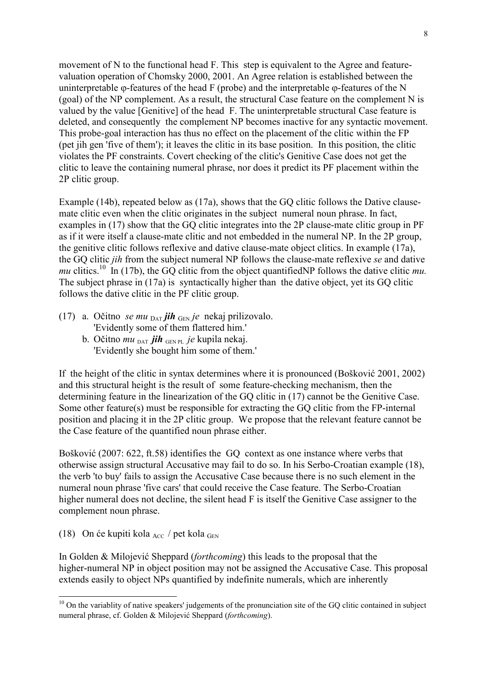movement of N to the functional head F. This step is equivalent to the Agree and featurevaluation operation of Chomsky 2000, 2001. An Agree relation is established between the uninterpretable  $\varphi$ -features of the head F (probe) and the interpretable  $\varphi$ -features of the N (goal) of the NP complement. As a result, the structural Case feature on the complement N is valued by the value [Genitive] of the head F. The uninterpretable structural Case feature is deleted, and consequently the complement NP becomes inactive for any syntactic movement. This probe-goal interaction has thus no effect on the placement of the clitic within the FP (pet jih gen 'five of them'); it leaves the clitic in its base position. In this position, the clitic violates the PF constraints. Covert checking of the clitic's Genitive Case does not get the clitic to leave the containing numeral phrase, nor does it predict its PF placement within the 2P clitic group.

Example (14b), repeated below as (17a), shows that the GQ clitic follows the Dative clausemate clitic even when the clitic originates in the subject numeral noun phrase. In fact, examples in (17) show that the GQ clitic integrates into the 2P clause-mate clitic group in PF as if it were itself a clause-mate clitic and not embedded in the numeral NP. In the 2P group, the genitive clitic follows reflexive and dative clause-mate object clitics. In example (17a), the GQ clitic *jih* from the subject numeral NP follows the clause-mate reflexive *se* and dative *mu* clitics.<sup>10</sup> In (17b), the GQ clitic from the object quantifiedNP follows the dative clitic *mu*. The subject phrase in (17a) is syntactically higher than the dative object, yet its GO clitic follows the dative clitic in the PF clitic group.

- (17) a. Očitno *se mu* <sup>D</sup>AT *jih* <sup>G</sup>EN *je* nekaj prilizovalo. 'Evidently some of them flattered him.'
	- b. Očitno *mu* DAT *jih* GEN PL *je* kupila nekaj. 'Evidently she bought him some of them.'

If the height of the clitic in syntax determines where it is pronounced (Bošković 2001, 2002) and this structural height is the result of some feature-checking mechanism, then the determining feature in the linearization of the GQ clitic in (17) cannot be the Genitive Case. Some other feature(s) must be responsible for extracting the GQ clitic from the FP-internal position and placing it in the 2P clitic group. We propose that the relevant feature cannot be the Case feature of the quantified noun phrase either.

Bošković (2007: 622, ft.58) identifies the GQ context as one instance where verbs that otherwise assign structural Accusative may fail to do so. In his Serbo-Croatian example (18), the verb 'to buy' fails to assign the Accusative Case because there is no such element in the numeral noun phrase 'five cars' that could receive the Case feature. The Serbo-Croatian higher numeral does not decline, the silent head F is itself the Genitive Case assigner to the complement noun phrase.

(18) On će kupiti kola  $_{\text{Acc}}$  / pet kola  $_{\text{Gen}}$ 

-

In Golden & Milojević Sheppard (*forthcoming*) this leads to the proposal that the higher-numeral NP in object position may not be assigned the Accusative Case. This proposal extends easily to object NPs quantified by indefinite numerals, which are inherently

 $10$  On the variablity of native speakers' judgements of the pronunciation site of the GQ clitic contained in subject numeral phrase, cf. Golden & Milojević Sheppard (*forthcoming*).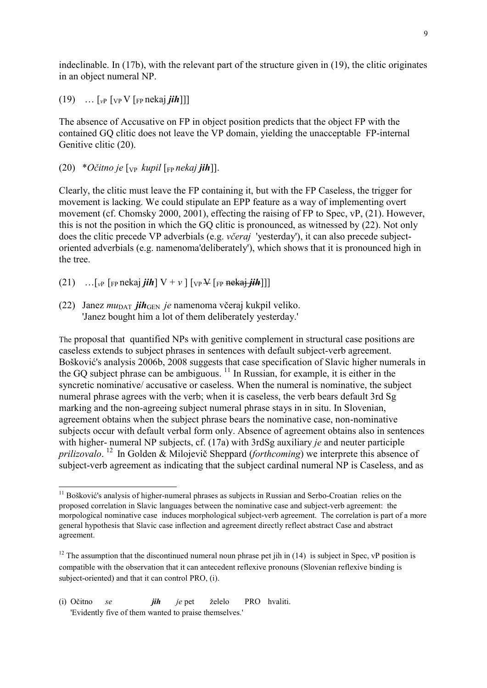indeclinable. In (17b), with the relevant part of the structure given in (19), the clitic originates in an object numeral NP.

 $(19)$  ...  $\lceil v \rceil$   $\lceil v \rceil$   $\lceil v \rceil$   $\lceil \rceil$   $\lceil v \rceil$   $\lceil v \rceil$ 

The absence of Accusative on FP in object position predicts that the object FP with the contained GQ clitic does not leave the VP domain, yielding the unacceptable FP-internal Genitive clitic (20).

 $(20) * O\check{c}$ *itno je*  $[\nabla_{\mathbf{P}} kupil]$   $[\nabla_{\mathbf{P}} nekaj$  *jih*]].

Clearly, the clitic must leave the FP containing it, but with the FP Caseless, the trigger for movement is lacking. We could stipulate an EPP feature as a way of implementing overt movement (cf. Chomsky 2000, 2001), effecting the raising of FP to Spec, vP, (21). However, this is not the position in which the GQ clitic is pronounced, as witnessed by (22). Not only does the clitic precede VP adverbials (e.g. *včeraj* 'yesterday'), it can also precede subjectoriented adverbials (e.g. namenoma'deliberately'), which shows that it is pronounced high in the tree.

- $(21)$  ... [<sub>*v*</sub>P [<sub>FP</sub> nekaj *jih*]  $V + v$  ] [<sub>VP</sub> V [<sub>FP</sub> nekaj *jih*]]]
- (22) Janez *mu*DAT *jih*GEN *je* namenoma včeraj kukpil veliko. 'Janez bought him a lot of them deliberately yesterday.'

The proposal that quantified NPs with genitive complement in structural case positions are caseless extends to subject phrases in sentences with default subject-verb agreement. Bošković's analysis 2006b, 2008 suggests that case specification of Slavic higher numerals in the GO subject phrase can be ambiguous.  $11$  In Russian, for example, it is either in the syncretic nominative/ accusative or caseless. When the numeral is nominative, the subject numeral phrase agrees with the verb; when it is caseless, the verb bears default 3rd Sg marking and the non-agreeing subject numeral phrase stays in in situ. In Slovenian, agreement obtains when the subject phrase bears the nominative case, non-nominative subjects occur with default verbal form only. Absence of agreement obtains also in sentences with higher- numeral NP subjects, cf. (17a) with 3rdSg auxiliary *je* and neuter participle prilizovalo.<sup>12</sup> In Golden & Milojevič Sheppard (*forthcoming*) we interprete this absence of subject-verb agreement as indicating that the subject cardinal numeral NP is Caseless, and as

-

<sup>&</sup>lt;sup>11</sup> Bošković's analysis of higher-numeral phrases as subjects in Russian and Serbo-Croatian relies on the proposed correlation in Slavic languages between the nominative case and subject-verb agreement: the morpological nominative case induces morphological subject-verb agreement. The correlation is part of a more general hypothesis that Slavic case inflection and agreement directly reflect abstract Case and abstract agreement.

<sup>&</sup>lt;sup>12</sup> The assumption that the discontinued numeral noun phrase pet jih in (14) is subject in Spec,  $vP$  position is compatible with the observation that it can antecedent reflexive pronouns (Slovenian reflexive binding is subject-oriented) and that it can control PRO, (i).

<sup>(</sup>i) Očitno *se jih je* pet želelo PRO hvaliti. 'Evidently five of them wanted to praise themselves.'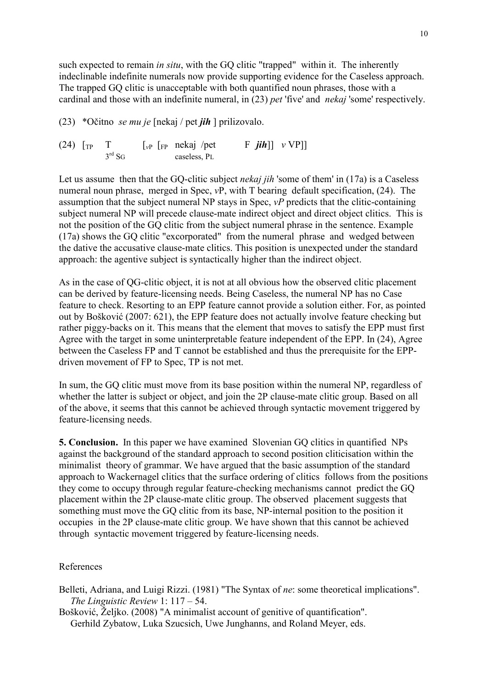such expected to remain *in situ*, with the GQ clitic "trapped" within it. The inherently indeclinable indefinite numerals now provide supporting evidence for the Caseless approach. The trapped GQ clitic is unacceptable with both quantified noun phrases, those with a cardinal and those with an indefinite numeral, in (23) *pet* 'five' and *nekaj* 'some' respectively.

(23) \*Očitno *se mu je* [nekaj / pet *jih* ] prilizovalo.

(24)  $\begin{bmatrix} \text{TP} & \text{T} & \text{[vP [FP nekaj/pet} & \text{F } jih \text{]} \end{bmatrix}$  *v* VP]] caseless, PL

Let us assume then that the GQ-clitic subject *nekaj jih* 'some of them' in (17a) is a Caseless numeral noun phrase, merged in Spec, *v*P, with T bearing default specification, (24). The assumption that the subject numeral NP stays in Spec, *vP* predicts that the clitic-containing subject numeral NP will precede clause-mate indirect object and direct object clitics. This is not the position of the GQ clitic from the subject numeral phrase in the sentence. Example (17a) shows the GQ clitic "excorporated" from the numeral phrase and wedged between the dative the accusative clause-mate clitics. This position is unexpected under the standard approach: the agentive subject is syntactically higher than the indirect object.

As in the case of QG-clitic object, it is not at all obvious how the observed clitic placement can be derived by feature-licensing needs. Being Caseless, the numeral NP has no Case feature to check. Resorting to an EPP feature cannot provide a solution either. For, as pointed out by Bošković (2007: 621), the EPP feature does not actually involve feature checking but rather piggy-backs on it. This means that the element that moves to satisfy the EPP must first Agree with the target in some uninterpretable feature independent of the EPP. In (24), Agree between the Caseless FP and T cannot be established and thus the prerequisite for the EPPdriven movement of FP to Spec, TP is not met.

In sum, the GQ clitic must move from its base position within the numeral NP, regardless of whether the latter is subject or object, and join the 2P clause-mate clitic group. Based on all of the above, it seems that this cannot be achieved through syntactic movement triggered by feature-licensing needs.

**5. Conclusion.** In this paper we have examined Slovenian GQ clitics in quantified NPs against the background of the standard approach to second position cliticisation within the minimalist theory of grammar. We have argued that the basic assumption of the standard approach to Wackernagel clitics that the surface ordering of clitics follows from the positions they come to occupy through regular feature-checking mechanisms cannot predict the GQ placement within the 2P clause-mate clitic group. The observed placement suggests that something must move the GQ clitic from its base, NP-internal position to the position it occupies in the 2P clause-mate clitic group. We have shown that this cannot be achieved through syntactic movement triggered by feature-licensing needs.

## References

- Belleti, Adriana, and Luigi Rizzi. (1981) "The Syntax of *ne*: some theoretical implications". *The Linguistic Review* 1: 117 – 54.
- Bošković, Željko. (2008) "A minimalist account of genitive of quantification". Gerhild Zybatow, Luka Szucsich, Uwe Junghanns, and Roland Meyer, eds.